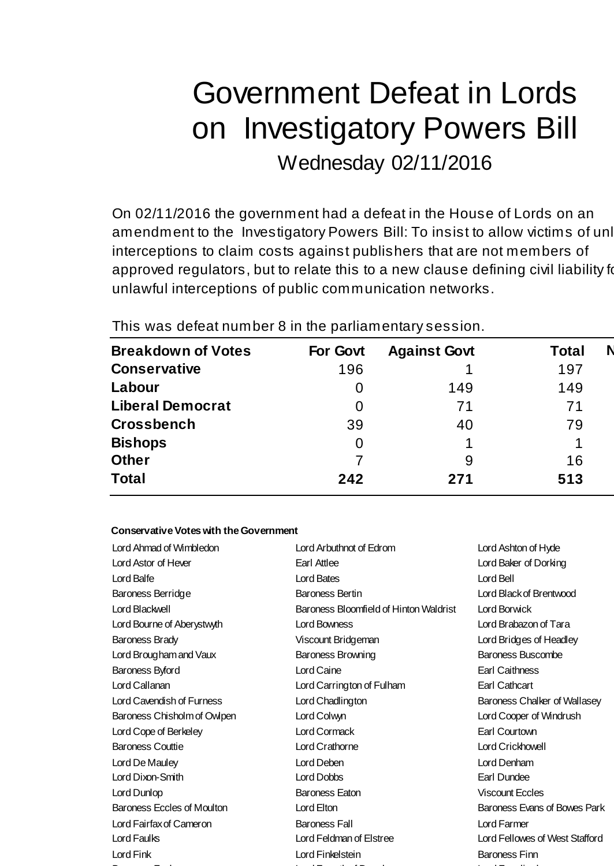# Government Defeat in Lords on Investigatory Powers Bill

Wednesday 02/11/2016

On 02/11/2016 the government had a defeat in the House of Lords on an amendment to the Investigatory Powers Bill: To insist to allow victims of unl interceptions to claim costs against publishers that are not members of approved regulators, but to relate this to a new clause defining civil liability for unlawful interceptions of public communication networks.

This was defeat number 8 in the parliamentary session.

| <b>Breakdown of Votes</b> | For Govt | <b>Against Govt</b> | Total |
|---------------------------|----------|---------------------|-------|
| <b>Conservative</b>       | 196      |                     | 197   |
| Labour                    | 0        | 149                 | 149   |
| <b>Liberal Democrat</b>   | 0        | 71                  | 71    |
| <b>Crossbench</b>         | 39       | 40                  | 79    |
| <b>Bishops</b>            | 0        |                     |       |
| <b>Other</b>              |          | 9                   | 16    |
| <b>Total</b>              | 242      | 271                 | 513   |

### **Conservative Votes with the Government**

| Lord Ahmad of Wimbledon           | Lord Arbuthnot of Edrom                | Lord Ashton of Hyde            |  |
|-----------------------------------|----------------------------------------|--------------------------------|--|
| Lord Astor of Hever               | Earl Attlee                            | Lord Baker of Dorking          |  |
| Lord Balfe                        | Lord Bates                             | Lord Bell                      |  |
| Baroness Berridge                 | <b>Baroness Bertin</b>                 | Lord Black of Brentwood        |  |
| Lord Blackwell                    | Baroness Bloomfield of Hinton Waldrist | Lord Borwick                   |  |
| Lord Bourne of Aberystwyth        | Lord Bowness                           | Lord Brabazon of Tara          |  |
| Baroness Brady                    | Viscount Bridgeman                     | Lord Bridges of Headley        |  |
| Lord Brougham and Vaux            | Baroness Browning                      | <b>Baroness Buscombe</b>       |  |
| Baroness Byford                   | Lord Caine                             | Earl Caithness                 |  |
| Lord Callanan                     | Lord Carrington of Fulham              | Earl Cathcart                  |  |
| Lord Cavendish of Furness         | Lord Chadlington                       | Baroness Chalker of Wallasey   |  |
| Baroness Chisholm of Owlpen       | Lord Colwyn                            | Lord Cooper of Windrush        |  |
| Lord Cope of Berkeley             | Lord Cormack                           | Earl Courtown                  |  |
| <b>Baroness Couttie</b>           | Lord Crathorne                         | Lord Crickhowell               |  |
| Lord De Mauley                    | Lord Deben                             | Lord Denham                    |  |
| Lord Dixon-Smith                  | Lord Dobbs                             | Earl Dundee                    |  |
| Lord Dunlop                       | <b>Baroness Eaton</b>                  | <b>Viscount Eccles</b>         |  |
| <b>Baroness Eccles of Moulton</b> | Lord Elton                             | Baroness Evans of Bowes Park   |  |
| Lord Fairfax of Cameron           | <b>Baroness Fall</b>                   | Lord Farmer                    |  |
| Lord Faulks                       | Lord Feldman of Elstree                | Lord Fellowes of West Stafford |  |
| Lord Fink                         | Lord Finkelstein                       | <b>Baroness Finn</b>           |  |
|                                   |                                        |                                |  |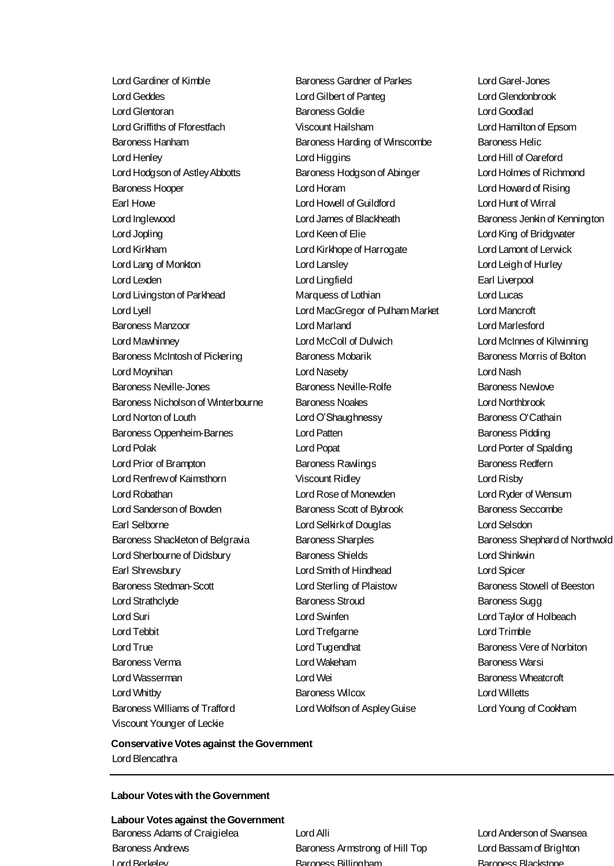Lord Gardiner of Kimble Baroness Gardner of Parkes Lord Garel-Jones Lord Geddes Lord Gilbert of Panteg Lord Glendonbrook Lord Glentoran Baroness Goldie Lord Goodlad Lord Griffiths of Fforestfach Viscount Hailsham Lord Hamilton of Epsom Baroness Hanham **Baroness Harding of Winscombe** Baroness Helic Lord Henley Lord Higgins Lord Hill of Oareford Lord Hodgson of Astley Abbotts Baroness Hodgson of Abinger Lord Holmes of Richmond Baroness Hooper Lord Horam Lord Howard of Rising Earl Howe Lord Howell of Guildford Lord Hunt of Wirral Lord Inglewood Lord James of Blackheath Baroness Jenkin of Kennington Lord Jopling Lord Keen of Elie Lord King of Bridgwater Lord Kirkham Lord Kirkhope of Harrogate Lord Lamont of Lerwick Lord Lang of Monkton Lord Lansley Lord Leigh of Hurley Lord Lexden Lord Lingfield Earl Liverpool Lord Livingston of Parkhead Marquess of Lothian Lord Lucas Lord Lyell Lord MacGregor of Pulham Market Lord Mancroft Baroness Manzoor Lord Marland Lord Marlesford Lord Mawhinney Lord McColl of Dulwich Lord McInnes of Kilwinning Baroness McIntosh of Pickering Baroness Mobarik Baroness Morris of Bolton Lord Moynihan Lord Naseby Lord Nash Baroness Neville-Jones **Baroness Neville-Rolfe** Baroness Newlove Baroness Nicholson of Winterbourne Baroness Noakes Lord Northbrook Lord Norton of Louth **Lord O'Shaughnessy** Baroness O'Cathain Baroness Oppenheim-Barnes **Barones Lord Patten** Baroness Pidding Baroness Pidding Lord Polak Lord Popat Lord Porter of Spalding Lord Prior of Brampton **Baroness Rawlings** Baroness Redfern Baroness Redfern Lord Renfrew of Kaimsthorn Viscount Ridley Lord Risby Lord Robathan Lord Rose of Monewden Lord Ryder of Wensum Lord Sanderson of Bowden **Baroness Scott of Bybrook** Baroness Seccombe Earl Selborne Lord Selkirk of Douglas Lord Selsdon Baroness Shackleton of Belgravia Baroness Sharples Baroness Shaphard of Northwold Lord Sherbourne of Didsbury Baroness Shields Lord Shinkwin Earl Shrewsbury Lord Smith of Hindhead Lord Spicer Baroness Stedman-Scott **Lord Sterling of Plaistow** Baroness Stowell of Beeston Lord Strathclyde **Baroness Stroud** Baroness Stroud Baroness Sugg Lord Suri Lord Swinfen Lord Taylor of Holbeach Lord Tebbit Lord Trefgarne Lord Trimble Lord True **Lord Tugendhat** Lord Tugendhat **Baroness** Vere of Norbiton Baroness Verma Lord Wakeham Baroness Warsi Lord Wasserman Lord Wei Baroness Wheatcroft Cord Wei Baroness Wheatcroft Lord Whitby Baroness Wilcox Lord Willetts Baroness Williams of Trafford Lord Wolfson of Aspley Guise Lord Young of Cookham Viscount Younger of Leckie

#### **Conservative Votes against the Government** Lord Blencathra

#### **Labour Votes with the Government**

**Labour Votes against the Government** Baroness Adams of Craigielea Lord Alli Lord Anderson of Swansea Baroness Andrews Baroness Armstrong of Hill Top Lord Bassam of Brighton Lord Berkeley Baroness Billingham Baroness Blackstone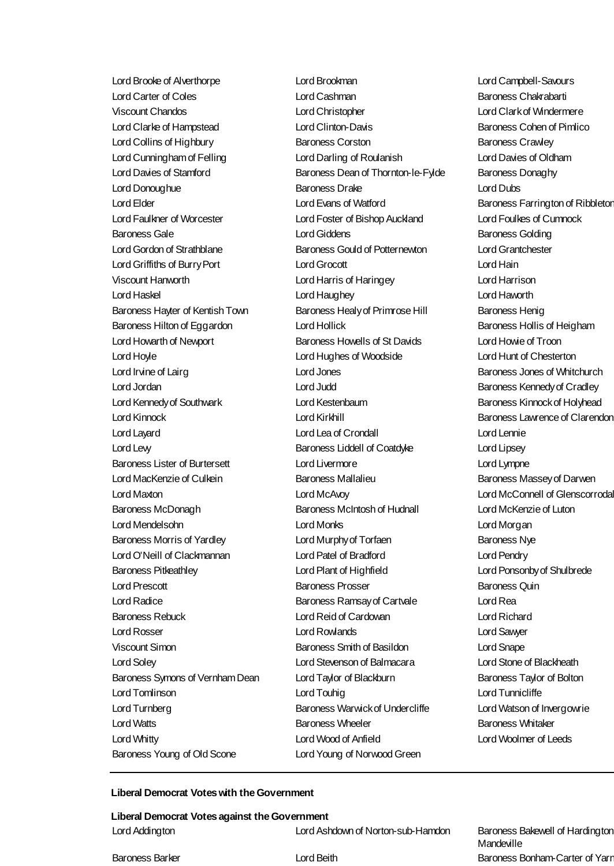Lord Brooke of Alverthorpe Lord Brookman Lord Campbell-Savours Lord Carter of Coles Lord Cashman Baroness Chakrabarti Lord Clarke of Hampstead Lord Clinton-Davis Baroness Cohen of Pimlico Lord Collins of Highbury **Baroness Corston** Baroness Corston Baroness Crawley Lord Cunningham of Felling Lord Darling of Roulanish Lord Davies of Oldham Lord Donoughue Baroness Drake Lord Dubs Lord Elder Lord Evans of Watford Baroness Farrington of Ribbleton Lord Faulkner of Worcester Lord Foster of Bishop Auckland Lord Foulkes of Cumnock Baroness Gale **Baroness Golding** Lord Giddens **Baroness Golding** Lord Gordon of Strathblane **Baroness Gould of Potternewton** Lord Grantchester Viscount Hanworth Lord Harris of Haringey Lord Harrison Lord Haskel Lord Haughey Lord Haworth Lord Howarth of Newport Baroness Howells of St Davids Lord Howie of Troon Lord Hoyle Lord Hughes of Woodside Lord Hunt of Chesterton Lord Jordan Lord Judd Baroness Kennedy of Cradley Lord Kennedy of Southwark Lord Kestenbaum Baroness Kinnock of Holyhead Lord Kinnock Lord Kirkhill Baroness Lawrence of Clarendon Lord Levy Baroness Liddell of Coatdyke Lord Lipsey Lord MacKenzie of Culkein **Baroness Mallalieu** Baroness Manual Baroness Massey of Darwen Lord Maxton Lord McAvoy Lord McConnell of Glenscorrodale Lord Mendelsohn Lord Monks Lord Morgan Lord Prescott **Baroness Prosser Baroness Prosser** Baroness Quin Lord Radice **Baroness Ramsay of Cartvale** Lord Rea Lord Rosser Lord Rowlands Lord Sawyer Lord Soley Lord Stevenson of Balmacara Lord Stone of Blackheath Lord Turnberg **Baroness Warwick of Undercliffe** Lord Watson of Invergowrie Lord Watts **Baroness Wheeler** Baroness Wheeler Baroness Whitaker Baroness Young of Old Scone Lord Young of Norwood Green

Viscount Chandos Lord Christopher Lord Clark of Windermere Lord Davies of Stamford Baroness Dean of Thornton-le-Fylde Baroness Donaghy Lord Griffiths of Burry Port Lord Grocott Lord Hain Baroness Hayter of Kentish Town Baroness Healy of Primrose Hill Baroness Henig Baroness Hilton of Eggardon **Lord Hollick** Baroness Hollis of Heigham Lord Irvine of Lairg **Lord Jones** Lord Jones **Baroness Jones of Whitchurch** Lord Jones **Baroness Jones of Whitchurch** Lord Layard Lord Lea of Crondall Lord Lennie Baroness Lister of Burtersett **Lord Livermore** Lord Lympne Baroness McDonagh Baroness McIntosh of Hudnall Lord McKenzie of Luton Baroness Morris of Yardley **Lord Murphy of Torfaen** Baroness Nye Lord O'Neill of Clackmannan Lord Patel of Bradford Lord Pendry Baroness Pitkeathley Lord Plant of Highfield Lord Ponsonby of Shulbrede Baroness Rebuck Lord Reid of Cardowan Lord Richard Viscount Simon Baroness Smith of Basildon Lord Snape Baroness Symons of Vernham Dean Lord Taylor of Blackburn Baroness Taylor of Bolton Lord Tomlinson Lord Touhig Lord Tunnicliffe Lord Whitty Lord Wood of Anfield Lord Woolmer of Leeds

#### **Liberal Democrat Votes with the Government**

**Liberal Democrat Votes against the Government** Lord Addington Lord Ashdown of Norton-sub-Hamdon Baroness Bakewell of Hardington

**Mandeville** Baroness Barker **Lord Beith Baroness Bonham-Carter of Yarr**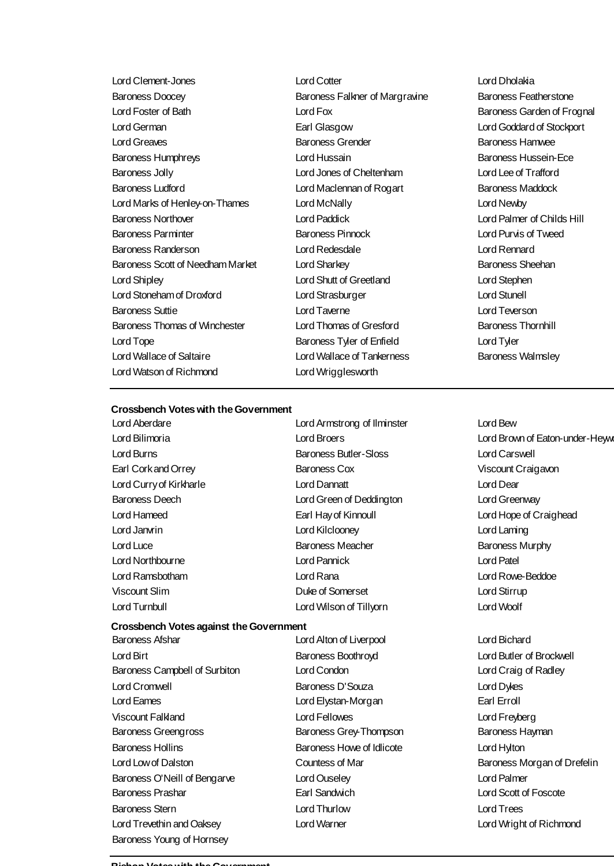Lord Clement-Jones Lord Cotter Lord Dholakia Baroness Doocey **Baroness Falkner of Margravine** Baroness Featherstone Lord Foster of Bath **Lord Fox Lord Fox** Baroness Garden of Frognal Lord German Earl Glasgow Lord Goddard of Stockport Lord Greaves Baroness Grender Baroness Hamwee Baroness Humphreys Lord Hussain Baroness Hussein-Ece Baroness Jolly Lord Jones of Cheltenham Lord Lee of Trafford Baroness Ludford Lord Maclennan of Rogart Baroness Maddock Lord Marks of Henley-on-Thames Lord McNally Lord Newby Baroness Northover Lord Paddick Lord Palmer of Childs Hill Baroness Parminter Baroness Pinnock Lord Purvis of Tweed Baroness Randerson Lord Redesdale Lord Rennard Baroness Scott of Needham Market Lord Sharkey **Baroness Sheehan** Lord Shipley Lord Shutt of Greetland Lord Stephen Lord Stoneham of Droxford Lord Strasburger Lord Stunell Baroness Suttie Lord Taverne Lord Teverson Baroness Thomas of Winchester Lord Thomas of Gresford Baroness Thornhill Lord Tope **Baroness Tyler of Enfield** Lord Tyler Lord Tyler Lord Wallace of Saltaire **Lord Wallace of Tankerness** Baroness Walmsley Lord Watson of Richmond Lord Wrigglesworth

#### **Crossbench Votes with the Government**

Lord Aberdare Lord Armstrong of Ilminster Lord Bew Lord Bilimoria Lord Broers Lord Brown of Eaton-under-Heywood Lord Burns Baroness Butler-Sloss Lord Carswell Earl Cork and Orrey Baroness Cox Viscount Craigavon Lord Curry of Kirkharle Lord Dannatt Lord Dear Baroness Deech Lord Green of Deddington Lord Greenway Lord Hameed Earl Hay of Kinnoull Lord Hope of Craighead Lord Janvrin Lord Kilclooney Lord Laming Lord Luce **Baroness Meacher Baroness Meacher** Baroness Murphy Lord Northbourne Lord Pannick Lord Patel Lord Ramsbotham Lord Rana Lord Rowe-Beddoe Viscount Slim Duke of Somerset Lord Stirrup Lord Turnbull Lord Wilson of Tillyorn Lord Woolf

#### **Crossbench Votes against the Government**

Baroness Afshar Lord Alton of Liverpool Lord Bichard Lord Birt Baroness Boothroyd Lord Butler of Brockwell Baroness Campbell of Surbiton Lord Condon Lord Condon Lord Craig of Radley Lord Cromwell Baroness D'Souza Lord Dykes Lord Eames Lord Elystan-Morgan Earl Erroll Viscount Falkland Lord Fellowes Lord Freyberg Baroness Greengross Thompson Baroness Grey-Thompson Baroness Hayman Baroness Hollins Baroness Howe of Idlicote Lord Hylton Lord Low of Dalston Countess of Mar Baroness Morgan of Drefelin Baroness O'Neill of Bengarve Lord Ouseley Lord Palmer Baroness Prashar Earl Sandwich Lord Scott of Foscote Baroness Stern Lord Thurlow Lord Trees Lord Trevethin and Oaksey Lord Warner Lord Wright of Richmond Baroness Young of Hornsey